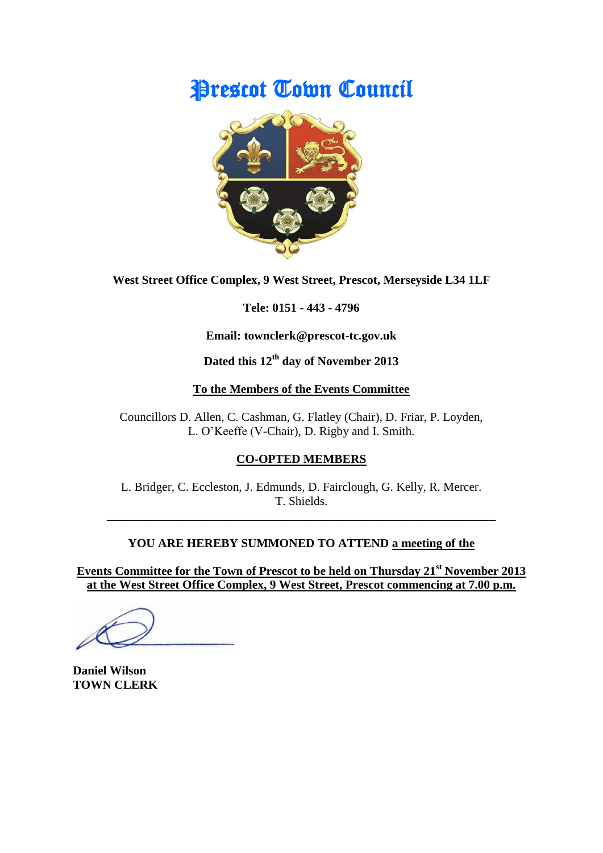# Prescot Town Council



**West Street Office Complex, 9 West Street, Prescot, Merseyside L34 1LF**

**Tele: 0151 - 443 - 4796**

**Email: townclerk@prescot-tc.gov.uk**

**Dated this 12 th day of November 2013**

## **To the Members of the Events Committee**

Councillors D. Allen, C. Cashman, G. Flatley (Chair), D. Friar, P. Loyden, L. O'Keeffe (V-Chair), D. Rigby and I. Smith.

# **CO-OPTED MEMBERS**

L. Bridger, C. Eccleston, J. Edmunds, D. Fairclough, G. Kelly, R. Mercer. T. Shields.

**\_\_\_\_\_\_\_\_\_\_\_\_\_\_\_\_\_\_\_\_\_\_\_\_\_\_\_\_\_\_\_\_\_\_\_\_\_\_\_\_\_\_\_\_\_\_\_\_\_\_\_\_\_\_\_\_\_\_\_\_\_\_\_\_**

# **YOU ARE HEREBY SUMMONED TO ATTEND a meeting of the**

**Events Committee for the Town of Prescot to be held on Thursday 21st November 2013 at the West Street Office Complex, 9 West Street, Prescot commencing at 7.00 p.m.**

**Daniel Wilson TOWN CLERK**